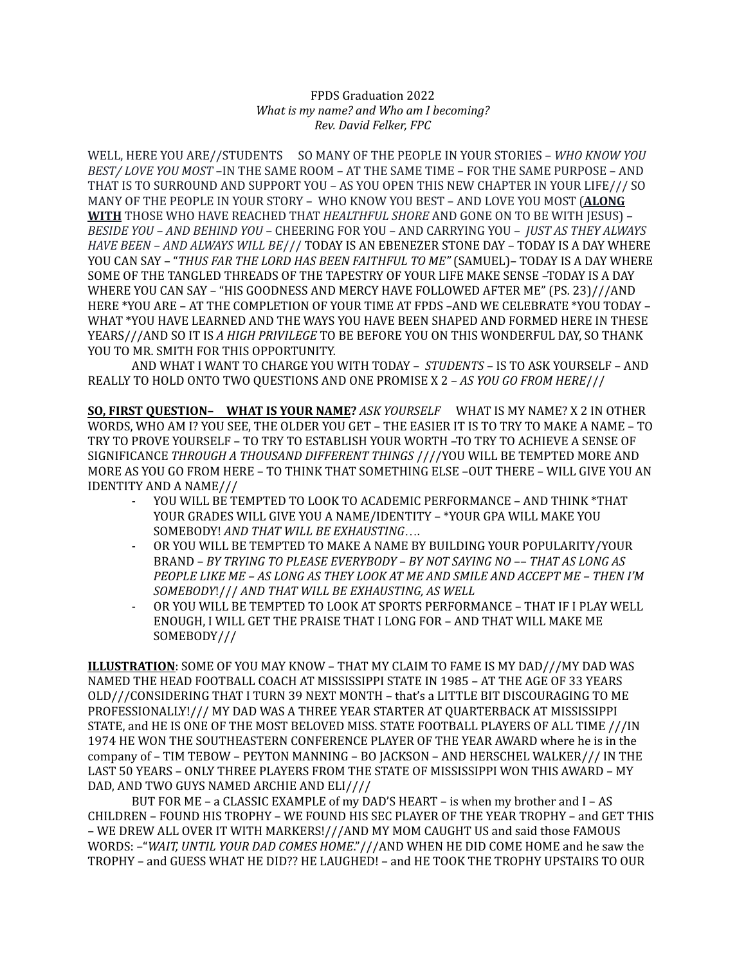## FPDS Graduation 2022 *What is my name? and Who am I becoming? Rev. David Felker, FPC*

WELL, HERE YOU ARE//STUDENTS SO MANY OF THE PEOPLE IN YOUR STORIES – *WHO KNOW YOU BEST/ LOVE YOU MOST* –IN THE SAME ROOM – AT THE SAME TIME – FOR THE SAME PURPOSE – AND THAT IS TO SURROUND AND SUPPORT YOU – AS YOU OPEN THIS NEW CHAPTER IN YOUR LIFE/// SO MANY OF THE PEOPLE IN YOUR STORY – WHO KNOW YOU BEST – AND LOVE YOU MOST (**ALONG WITH** THOSE WHO HAVE REACHED THAT *HEALTHFUL SHORE* AND GONE ON TO BE WITH JESUS) – *BESIDE YOU – AND BEHIND YOU* – CHEERING FOR YOU – AND CARRYING YOU – *JUST AS THEY ALWAYS HAVE BEEN – AND ALWAYS WILL BE*/// TODAY IS AN EBENEZER STONE DAY – TODAY IS A DAY WHERE YOU CAN SAY – "*THUS FAR THE LORD HAS BEEN FAITHFUL TO ME"* (SAMUEL)– TODAY IS A DAY WHERE SOME OF THE TANGLED THREADS OF THE TAPESTRY OF YOUR LIFE MAKE SENSE –TODAY IS A DAY WHERE YOU CAN SAY – "HIS GOODNESS AND MERCY HAVE FOLLOWED AFTER ME" (PS. 23)///AND HERE \*YOU ARE – AT THE COMPLETION OF YOUR TIME AT FPDS –AND WE CELEBRATE \*YOU TODAY – WHAT \*YOU HAVE LEARNED AND THE WAYS YOU HAVE BEEN SHAPED AND FORMED HERE IN THESE YEARS///AND SO IT IS *A HIGH PRIVILEGE* TO BE BEFORE YOU ON THIS WONDERFUL DAY, SO THANK YOU TO MR. SMITH FOR THIS OPPORTUNITY.

AND WHAT I WANT TO CHARGE YOU WITH TODAY – *STUDENTS* – IS TO ASK YOURSELF – AND REALLY TO HOLD ONTO TWO QUESTIONS AND ONE PROMISE X 2 – *AS YOU GO FROM HERE*///

**SO, FIRST QUESTION– WHAT IS YOUR NAME?** *ASK YOURSELF* WHAT IS MY NAME? X 2 IN OTHER WORDS, WHO AM I? YOU SEE, THE OLDER YOU GET – THE EASIER IT IS TO TRY TO MAKE A NAME – TO TRY TO PROVE YOURSELF – TO TRY TO ESTABLISH YOUR WORTH –TO TRY TO ACHIEVE A SENSE OF SIGNIFICANCE *THROUGH A THOUSAND DIFFERENT THINGS* ////YOU WILL BE TEMPTED MORE AND MORE AS YOU GO FROM HERE – TO THINK THAT SOMETHING ELSE –OUT THERE – WILL GIVE YOU AN IDENTITY AND A NAME///

- YOU WILL BE TEMPTED TO LOOK TO ACADEMIC PERFORMANCE AND THINK \*THAT YOUR GRADES WILL GIVE YOU A NAME/IDENTITY – \*YOUR GPA WILL MAKE YOU SOMEBODY! *AND THAT WILL BE EXHAUSTING*….
- OR YOU WILL BE TEMPTED TO MAKE A NAME BY BUILDING YOUR POPULARITY/YOUR BRAND – *BY TRYING TO PLEASE EVERYBODY* – *BY NOT SAYING NO* –– *THAT AS LONG AS PEOPLE LIKE ME – AS LONG AS THEY LOOK AT ME AND SMILE AND ACCEPT ME – THEN I'M SOMEBODY*!/// *AND THAT WILL BE EXHAUSTING, AS WELL*
- OR YOU WILL BE TEMPTED TO LOOK AT SPORTS PERFORMANCE THAT IF I PLAY WELL ENOUGH, I WILL GET THE PRAISE THAT I LONG FOR – AND THAT WILL MAKE ME SOMEBODY///

**ILLUSTRATION**: SOME OF YOU MAY KNOW – THAT MY CLAIM TO FAME IS MY DAD///MY DAD WAS NAMED THE HEAD FOOTBALL COACH AT MISSISSIPPI STATE IN 1985 – AT THE AGE OF 33 YEARS OLD///CONSIDERING THAT I TURN 39 NEXT MONTH – that's a LITTLE BIT DISCOURAGING TO ME PROFESSIONALLY!/// MY DAD WAS A THREE YEAR STARTER AT QUARTERBACK AT MISSISSIPPI STATE, and HE IS ONE OF THE MOST BELOVED MISS. STATE FOOTBALL PLAYERS OF ALL TIME ///IN 1974 HE WON THE SOUTHEASTERN CONFERENCE PLAYER OF THE YEAR AWARD where he is in the company of – TIM TEBOW – PEYTON MANNING – BO JACKSON – AND HERSCHEL WALKER/// IN THE LAST 50 YEARS – ONLY THREE PLAYERS FROM THE STATE OF MISSISSIPPI WON THIS AWARD – MY DAD, AND TWO GUYS NAMED ARCHIE AND ELI////

BUT FOR ME – a CLASSIC EXAMPLE of my DAD'S HEART – is when my brother and I – AS CHILDREN – FOUND HIS TROPHY – WE FOUND HIS SEC PLAYER OF THE YEAR TROPHY – and GET THIS – WE DREW ALL OVER IT WITH MARKERS!///AND MY MOM CAUGHT US and said those FAMOUS WORDS: –"*WAIT, UNTIL YOUR DAD COMES HOME*."///AND WHEN HE DID COME HOME and he saw the TROPHY – and GUESS WHAT HE DID?? HE LAUGHED! – and HE TOOK THE TROPHY UPSTAIRS TO OUR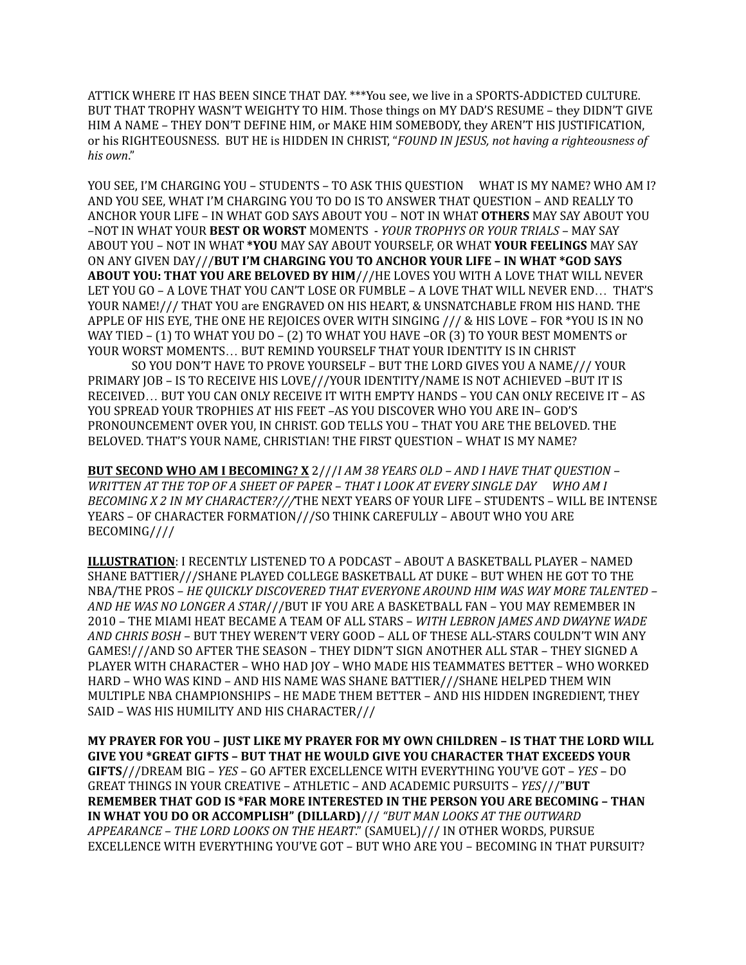ATTICK WHERE IT HAS BEEN SINCE THAT DAY. \*\*\*You see, we live in a SPORTS-ADDICTED CULTURE. BUT THAT TROPHY WASN'T WEIGHTY TO HIM. Those things on MY DAD'S RESUME – they DIDN'T GIVE HIM A NAME – THEY DON'T DEFINE HIM, or MAKE HIM SOMEBODY, they AREN'T HIS JUSTIFICATION, or his RIGHTEOUSNESS. BUT HE is HIDDEN IN CHRIST, "*FOUND IN JESUS, not having a righteousness of his own*."

YOU SEE, I'M CHARGING YOU – STUDENTS – TO ASK THIS QUESTION WHAT IS MY NAME? WHO AM I? AND YOU SEE, WHAT I'M CHARGING YOU TO DO IS TO ANSWER THAT QUESTION – AND REALLY TO ANCHOR YOUR LIFE – IN WHAT GOD SAYS ABOUT YOU – NOT IN WHAT **OTHERS** MAY SAY ABOUT YOU –NOT IN WHAT YOUR **BEST OR WORST** MOMENTS - *YOUR TROPHYS OR YOUR TRIALS* – MAY SAY ABOUT YOU – NOT IN WHAT **\*YOU** MAY SAY ABOUT YOURSELF, OR WHAT **YOUR FEELINGS** MAY SAY ON ANY GIVEN DAY///**BUT I'M CHARGING YOU TO ANCHOR YOUR LIFE – IN WHAT \*GOD SAYS ABOUT YOU: THAT YOU ARE BELOVED BY HIM**///HE LOVES YOU WITH A LOVE THAT WILL NEVER LET YOU GO – A LOVE THAT YOU CAN'T LOSE OR FUMBLE – A LOVE THAT WILL NEVER END… THAT'S YOUR NAME!/// THAT YOU are ENGRAVED ON HIS HEART, & UNSNATCHABLE FROM HIS HAND. THE APPLE OF HIS EYE, THE ONE HE REJOICES OVER WITH SINGING /// & HIS LOVE – FOR \*YOU IS IN NO WAY TIED – (1) TO WHAT YOU DO – (2) TO WHAT YOU HAVE –OR (3) TO YOUR BEST MOMENTS or YOUR WORST MOMENTS… BUT REMIND YOURSELF THAT YOUR IDENTITY IS IN CHRIST

SO YOU DON'T HAVE TO PROVE YOURSELF – BUT THE LORD GIVES YOU A NAME/// YOUR PRIMARY JOB – IS TO RECEIVE HIS LOVE///YOUR IDENTITY/NAME IS NOT ACHIEVED –BUT IT IS RECEIVED… BUT YOU CAN ONLY RECEIVE IT WITH EMPTY HANDS – YOU CAN ONLY RECEIVE IT – AS YOU SPREAD YOUR TROPHIES AT HIS FEET –AS YOU DISCOVER WHO YOU ARE IN– GOD'S PRONOUNCEMENT OVER YOU, IN CHRIST. GOD TELLS YOU – THAT YOU ARE THE BELOVED. THE BELOVED. THAT'S YOUR NAME, CHRISTIAN! THE FIRST QUESTION – WHAT IS MY NAME?

**BUT SECOND WHO AM I BECOMING? X** 2///*I AM 38 YEARS OLD – AND I HAVE THAT QUESTION – WRITTEN AT THE TOP OF A SHEET OF PAPER – THAT I LOOK AT EVERY SINGLE DAY WHO AM I BECOMING X 2 IN MY CHARACTER?///*THE NEXT YEARS OF YOUR LIFE – STUDENTS – WILL BE INTENSE YEARS – OF CHARACTER FORMATION///SO THINK CAREFULLY – ABOUT WHO YOU ARE BECOMING////

**ILLUSTRATION**: I RECENTLY LISTENED TO A PODCAST – ABOUT A BASKETBALL PLAYER – NAMED SHANE BATTIER///SHANE PLAYED COLLEGE BASKETBALL AT DUKE – BUT WHEN HE GOT TO THE NBA/THE PROS – *HE QUICKLY DISCOVERED THAT EVERYONE AROUND HIM WAS WAY MORE TALENTED – AND HE WAS NO LONGER A STAR*///BUT IF YOU ARE A BASKETBALL FAN – YOU MAY REMEMBER IN 2010 – THE MIAMI HEAT BECAME A TEAM OF ALL STARS – *WITH LEBRON JAMES AND DWAYNE WADE AND CHRIS BOSH* – BUT THEY WEREN'T VERY GOOD – ALL OF THESE ALL-STARS COULDN'T WIN ANY GAMES!///AND SO AFTER THE SEASON – THEY DIDN'T SIGN ANOTHER ALL STAR – THEY SIGNED A PLAYER WITH CHARACTER – WHO HAD JOY – WHO MADE HIS TEAMMATES BETTER – WHO WORKED HARD – WHO WAS KIND – AND HIS NAME WAS SHANE BATTIER///SHANE HELPED THEM WIN MULTIPLE NBA CHAMPIONSHIPS – HE MADE THEM BETTER – AND HIS HIDDEN INGREDIENT, THEY SAID – WAS HIS HUMILITY AND HIS CHARACTER///

**MY PRAYER FOR YOU – JUST LIKE MY PRAYER FOR MY OWN CHILDREN – IS THAT THE LORD WILL GIVE YOU \*GREAT GIFTS – BUT THAT HE WOULD GIVE YOU CHARACTER THAT EXCEEDS YOUR GIFTS**///DREAM BIG – *YES* – GO AFTER EXCELLENCE WITH EVERYTHING YOU'VE GOT – *YES* – DO GREAT THINGS IN YOUR CREATIVE – ATHLETIC – AND ACADEMIC PURSUITS – *YES*///"**BUT REMEMBER THAT GOD IS \*FAR MORE INTERESTED IN THE PERSON YOU ARE BECOMING – THAN IN WHAT YOU DO OR ACCOMPLISH" (DILLARD)**/// *"BUT MAN LOOKS AT THE OUTWARD APPEARANCE – THE LORD LOOKS ON THE HEART*." (SAMUEL)/// IN OTHER WORDS, PURSUE EXCELLENCE WITH EVERYTHING YOU'VE GOT – BUT WHO ARE YOU – BECOMING IN THAT PURSUIT?